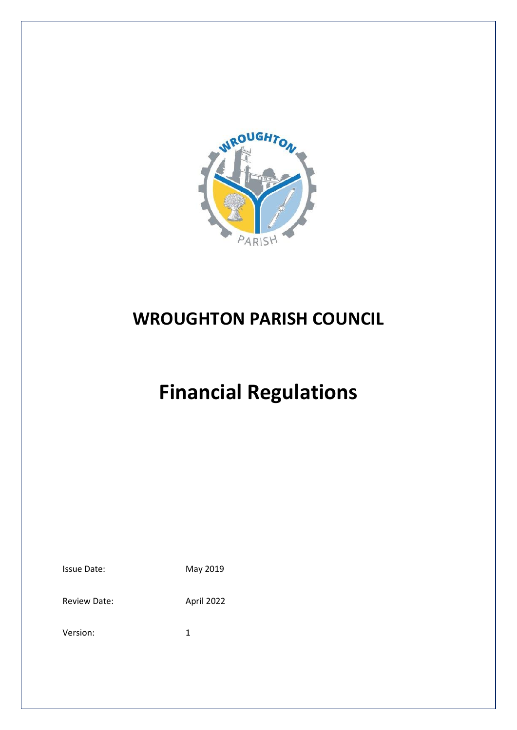

# **WROUGHTON PARISH COUNCIL**

# **Financial Regulations**

| <b>Issue Date:</b> | May 2019 |
|--------------------|----------|
|                    |          |

Review Date: April 2022

Version: 1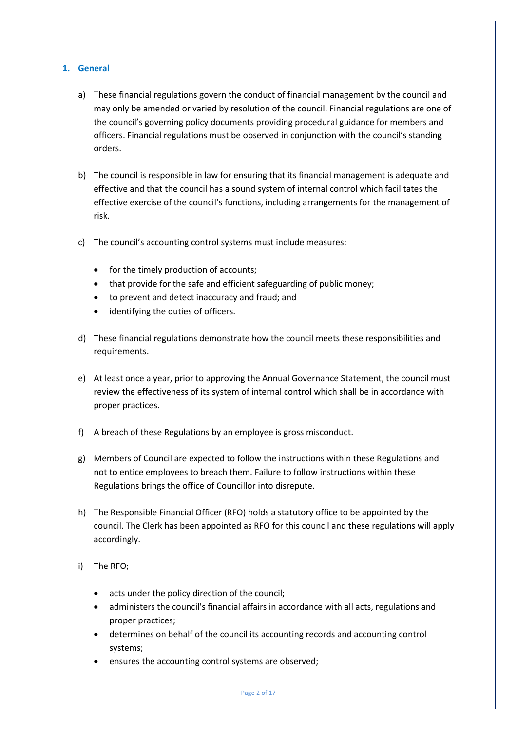# **1. General**

- a) These financial regulations govern the conduct of financial management by the council and may only be amended or varied by resolution of the council. Financial regulations are one of the council's governing policy documents providing procedural guidance for members and officers. Financial regulations must be observed in conjunction with the council's standing orders.
- b) The council is responsible in law for ensuring that its financial management is adequate and effective and that the council has a sound system of internal control which facilitates the effective exercise of the council's functions, including arrangements for the management of risk.
- c) The council's accounting control systems must include measures:
	- for the timely production of accounts;
	- that provide for the safe and efficient safeguarding of public money;
	- to prevent and detect inaccuracy and fraud; and
	- identifying the duties of officers.
- d) These financial regulations demonstrate how the council meets these responsibilities and requirements.
- e) At least once a year, prior to approving the Annual Governance Statement, the council must review the effectiveness of its system of internal control which shall be in accordance with proper practices.
- f) A breach of these Regulations by an employee is gross misconduct.
- g) Members of Council are expected to follow the instructions within these Regulations and not to entice employees to breach them. Failure to follow instructions within these Regulations brings the office of Councillor into disrepute.
- h) The Responsible Financial Officer (RFO) holds a statutory office to be appointed by the council. The Clerk has been appointed as RFO for this council and these regulations will apply accordingly.
- i) The RFO;
	- acts under the policy direction of the council;
	- administers the council's financial affairs in accordance with all acts, regulations and proper practices;
	- determines on behalf of the council its accounting records and accounting control systems;
	- ensures the accounting control systems are observed;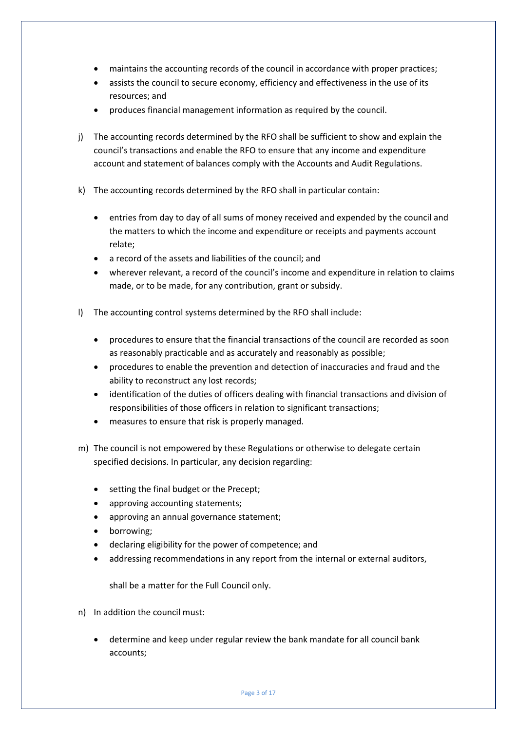- maintains the accounting records of the council in accordance with proper practices;
- assists the council to secure economy, efficiency and effectiveness in the use of its resources; and
- produces financial management information as required by the council.
- j) The accounting records determined by the RFO shall be sufficient to show and explain the council's transactions and enable the RFO to ensure that any income and expenditure account and statement of balances comply with the Accounts and Audit Regulations.
- k) The accounting records determined by the RFO shall in particular contain:
	- entries from day to day of all sums of money received and expended by the council and the matters to which the income and expenditure or receipts and payments account relate;
	- a record of the assets and liabilities of the council; and
	- wherever relevant, a record of the council's income and expenditure in relation to claims made, or to be made, for any contribution, grant or subsidy.
- l) The accounting control systems determined by the RFO shall include:
	- procedures to ensure that the financial transactions of the council are recorded as soon as reasonably practicable and as accurately and reasonably as possible;
	- procedures to enable the prevention and detection of inaccuracies and fraud and the ability to reconstruct any lost records;
	- identification of the duties of officers dealing with financial transactions and division of responsibilities of those officers in relation to significant transactions;
	- measures to ensure that risk is properly managed.
- m) The council is not empowered by these Regulations or otherwise to delegate certain specified decisions. In particular, any decision regarding:
	- setting the final budget or the Precept;
	- approving accounting statements;
	- approving an annual governance statement;
	- borrowing;
	- declaring eligibility for the power of competence; and
	- addressing recommendations in any report from the internal or external auditors,

shall be a matter for the Full Council only.

- n) In addition the council must:
	- determine and keep under regular review the bank mandate for all council bank accounts;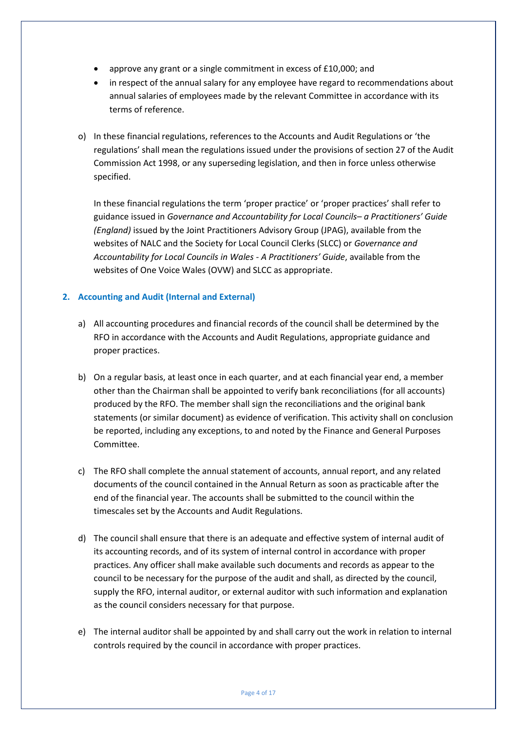- approve any grant or a single commitment in excess of £10,000; and
- in respect of the annual salary for any employee have regard to recommendations about annual salaries of employees made by the relevant Committee in accordance with its terms of reference.
- o) In these financial regulations, references to the Accounts and Audit Regulations or 'the regulations' shall mean the regulations issued under the provisions of section 27 of the Audit Commission Act 1998, or any superseding legislation, and then in force unless otherwise specified.

In these financial regulations the term 'proper practice' or 'proper practices' shall refer to guidance issued in *Governance and Accountability for Local Councils– a Practitioners' Guide (England)* issued by the Joint Practitioners Advisory Group (JPAG), available from the websites of NALC and the Society for Local Council Clerks (SLCC) or *Governance and Accountability for Local Councils in Wales - A Practitioners' Guide*, available from the websites of One Voice Wales (OVW) and SLCC as appropriate.

# **2. Accounting and Audit (Internal and External)**

- a) All accounting procedures and financial records of the council shall be determined by the RFO in accordance with the Accounts and Audit Regulations, appropriate guidance and proper practices.
- b) On a regular basis, at least once in each quarter, and at each financial year end, a member other than the Chairman shall be appointed to verify bank reconciliations (for all accounts) produced by the RFO. The member shall sign the reconciliations and the original bank statements (or similar document) as evidence of verification. This activity shall on conclusion be reported, including any exceptions, to and noted by the Finance and General Purposes Committee.
- c) The RFO shall complete the annual statement of accounts, annual report, and any related documents of the council contained in the Annual Return as soon as practicable after the end of the financial year. The accounts shall be submitted to the council within the timescales set by the Accounts and Audit Regulations.
- d) The council shall ensure that there is an adequate and effective system of internal audit of its accounting records, and of its system of internal control in accordance with proper practices. Any officer shall make available such documents and records as appear to the council to be necessary for the purpose of the audit and shall, as directed by the council, supply the RFO, internal auditor, or external auditor with such information and explanation as the council considers necessary for that purpose.
- e) The internal auditor shall be appointed by and shall carry out the work in relation to internal controls required by the council in accordance with proper practices.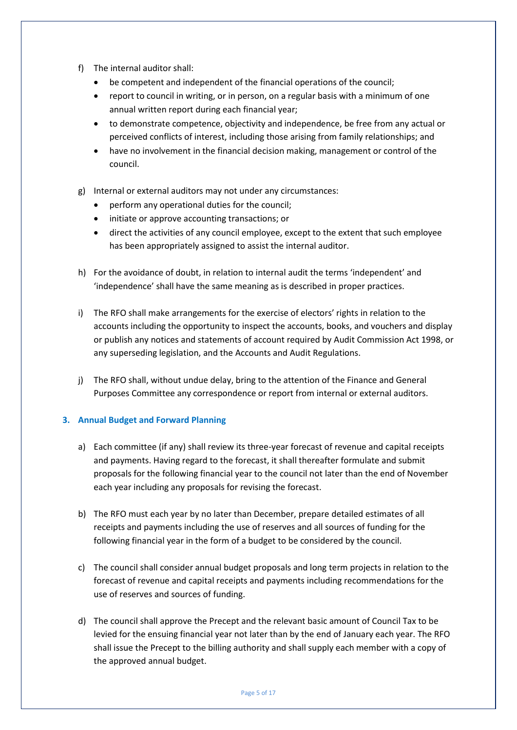- f) The internal auditor shall:
	- be competent and independent of the financial operations of the council;
	- report to council in writing, or in person, on a regular basis with a minimum of one annual written report during each financial year;
	- to demonstrate competence, objectivity and independence, be free from any actual or perceived conflicts of interest, including those arising from family relationships; and
	- have no involvement in the financial decision making, management or control of the council.
- g) Internal or external auditors may not under any circumstances:
	- perform any operational duties for the council;
	- initiate or approve accounting transactions; or
	- direct the activities of any council employee, except to the extent that such employee has been appropriately assigned to assist the internal auditor.
- h) For the avoidance of doubt, in relation to internal audit the terms 'independent' and 'independence' shall have the same meaning as is described in proper practices.
- i) The RFO shall make arrangements for the exercise of electors' rights in relation to the accounts including the opportunity to inspect the accounts, books, and vouchers and display or publish any notices and statements of account required by Audit Commission Act 1998, or any superseding legislation, and the Accounts and Audit Regulations.
- j) The RFO shall, without undue delay, bring to the attention of the Finance and General Purposes Committee any correspondence or report from internal or external auditors.

#### **3. Annual Budget and Forward Planning**

- a) Each committee (if any) shall review its three-year forecast of revenue and capital receipts and payments. Having regard to the forecast, it shall thereafter formulate and submit proposals for the following financial year to the council not later than the end of November each year including any proposals for revising the forecast.
- b) The RFO must each year by no later than December, prepare detailed estimates of all receipts and payments including the use of reserves and all sources of funding for the following financial year in the form of a budget to be considered by the council.
- c) The council shall consider annual budget proposals and long term projects in relation to the forecast of revenue and capital receipts and payments including recommendations for the use of reserves and sources of funding.
- d) The council shall approve the Precept and the relevant basic amount of Council Tax to be levied for the ensuing financial year not later than by the end of January each year. The RFO shall issue the Precept to the billing authority and shall supply each member with a copy of the approved annual budget.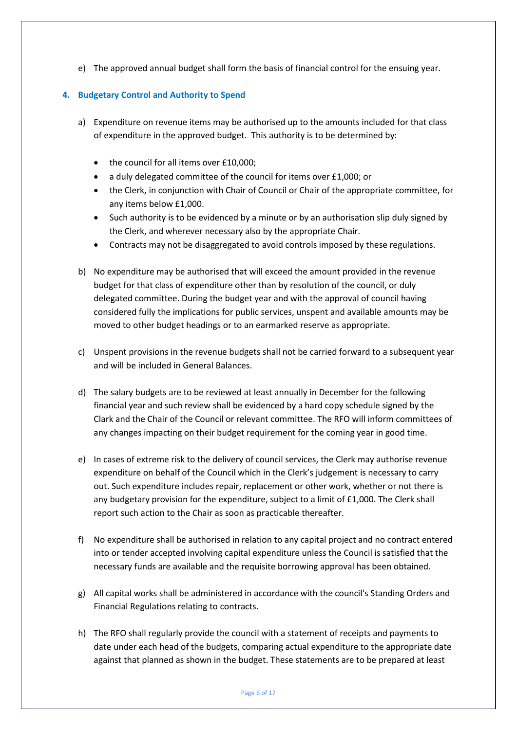e) The approved annual budget shall form the basis of financial control for the ensuing year.

# **4. Budgetary Control and Authority to Spend**

- a) Expenditure on revenue items may be authorised up to the amounts included for that class of expenditure in the approved budget. This authority is to be determined by:
	- the council for all items over £10,000;
	- a duly delegated committee of the council for items over £1,000; or
	- the Clerk, in conjunction with Chair of Council or Chair of the appropriate committee, for any items below £1,000.
	- Such authority is to be evidenced by a minute or by an authorisation slip duly signed by the Clerk, and wherever necessary also by the appropriate Chair.
	- Contracts may not be disaggregated to avoid controls imposed by these regulations.
- b) No expenditure may be authorised that will exceed the amount provided in the revenue budget for that class of expenditure other than by resolution of the council, or duly delegated committee. During the budget year and with the approval of council having considered fully the implications for public services, unspent and available amounts may be moved to other budget headings or to an earmarked reserve as appropriate.
- c) Unspent provisions in the revenue budgets shall not be carried forward to a subsequent year and will be included in General Balances.
- d) The salary budgets are to be reviewed at least annually in December for the following financial year and such review shall be evidenced by a hard copy schedule signed by the Clark and the Chair of the Council or relevant committee. The RFO will inform committees of any changes impacting on their budget requirement for the coming year in good time.
- e) In cases of extreme risk to the delivery of council services, the Clerk may authorise revenue expenditure on behalf of the Council which in the Clerk's judgement is necessary to carry out. Such expenditure includes repair, replacement or other work, whether or not there is any budgetary provision for the expenditure, subject to a limit of £1,000. The Clerk shall report such action to the Chair as soon as practicable thereafter.
- f) No expenditure shall be authorised in relation to any capital project and no contract entered into or tender accepted involving capital expenditure unless the Council is satisfied that the necessary funds are available and the requisite borrowing approval has been obtained.
- g) All capital works shall be administered in accordance with the council's Standing Orders and Financial Regulations relating to contracts.
- h) The RFO shall regularly provide the council with a statement of receipts and payments to date under each head of the budgets, comparing actual expenditure to the appropriate date against that planned as shown in the budget. These statements are to be prepared at least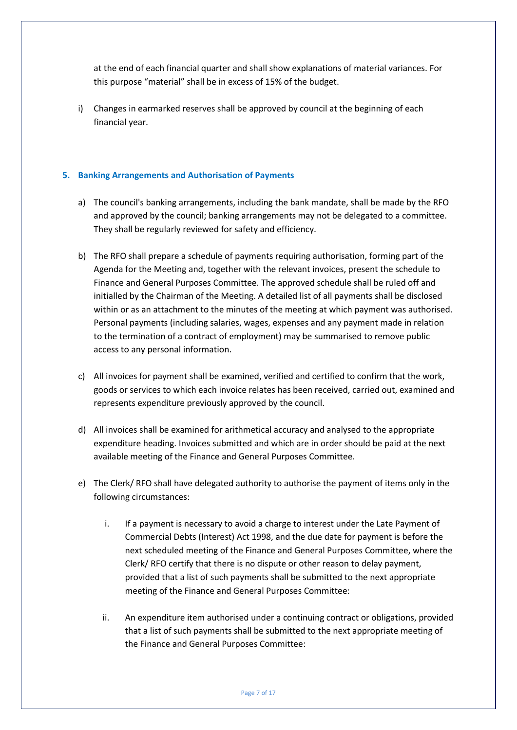at the end of each financial quarter and shall show explanations of material variances. For this purpose "material" shall be in excess of 15% of the budget.

i) Changes in earmarked reserves shall be approved by council at the beginning of each financial year.

#### **5. Banking Arrangements and Authorisation of Payments**

- a) The council's banking arrangements, including the bank mandate, shall be made by the RFO and approved by the council; banking arrangements may not be delegated to a committee. They shall be regularly reviewed for safety and efficiency.
- b) The RFO shall prepare a schedule of payments requiring authorisation, forming part of the Agenda for the Meeting and, together with the relevant invoices, present the schedule to Finance and General Purposes Committee. The approved schedule shall be ruled off and initialled by the Chairman of the Meeting. A detailed list of all payments shall be disclosed within or as an attachment to the minutes of the meeting at which payment was authorised. Personal payments (including salaries, wages, expenses and any payment made in relation to the termination of a contract of employment) may be summarised to remove public access to any personal information.
- c) All invoices for payment shall be examined, verified and certified to confirm that the work, goods or services to which each invoice relates has been received, carried out, examined and represents expenditure previously approved by the council.
- d) All invoices shall be examined for arithmetical accuracy and analysed to the appropriate expenditure heading. Invoices submitted and which are in order should be paid at the next available meeting of the Finance and General Purposes Committee.
- e) The Clerk/ RFO shall have delegated authority to authorise the payment of items only in the following circumstances:
	- i. If a payment is necessary to avoid a charge to interest under the Late Payment of Commercial Debts (Interest) Act 1998, and the due date for payment is before the next scheduled meeting of the Finance and General Purposes Committee, where the Clerk/ RFO certify that there is no dispute or other reason to delay payment, provided that a list of such payments shall be submitted to the next appropriate meeting of the Finance and General Purposes Committee:
	- ii. An expenditure item authorised under a continuing contract or obligations, provided that a list of such payments shall be submitted to the next appropriate meeting of the Finance and General Purposes Committee: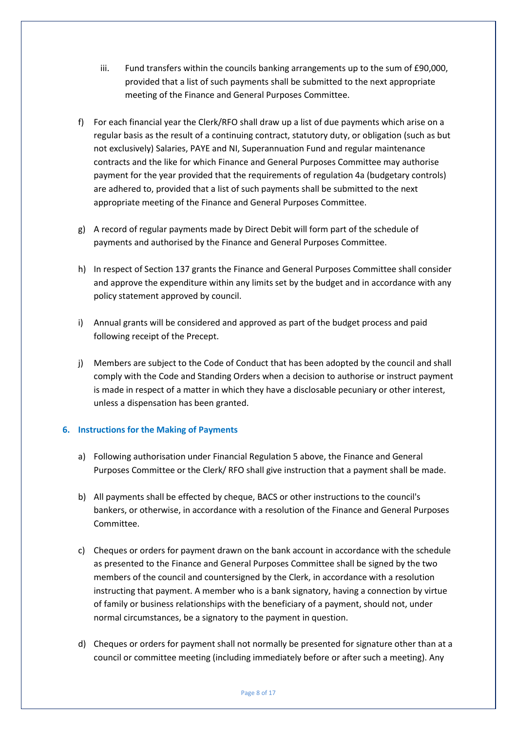- iii. Fund transfers within the councils banking arrangements up to the sum of £90,000, provided that a list of such payments shall be submitted to the next appropriate meeting of the Finance and General Purposes Committee.
- f) For each financial year the Clerk/RFO shall draw up a list of due payments which arise on a regular basis as the result of a continuing contract, statutory duty, or obligation (such as but not exclusively) Salaries, PAYE and NI, Superannuation Fund and regular maintenance contracts and the like for which Finance and General Purposes Committee may authorise payment for the year provided that the requirements of regulation 4a (budgetary controls) are adhered to, provided that a list of such payments shall be submitted to the next appropriate meeting of the Finance and General Purposes Committee.
- g) A record of regular payments made by Direct Debit will form part of the schedule of payments and authorised by the Finance and General Purposes Committee.
- h) In respect of Section 137 grants the Finance and General Purposes Committee shall consider and approve the expenditure within any limits set by the budget and in accordance with any policy statement approved by council.
- i) Annual grants will be considered and approved as part of the budget process and paid following receipt of the Precept.
- j) Members are subject to the Code of Conduct that has been adopted by the council and shall comply with the Code and Standing Orders when a decision to authorise or instruct payment is made in respect of a matter in which they have a disclosable pecuniary or other interest, unless a dispensation has been granted.

#### **6. Instructions for the Making of Payments**

- a) Following authorisation under Financial Regulation 5 above, the Finance and General Purposes Committee or the Clerk/ RFO shall give instruction that a payment shall be made.
- b) All payments shall be effected by cheque, BACS or other instructions to the council's bankers, or otherwise, in accordance with a resolution of the Finance and General Purposes Committee.
- c) Cheques or orders for payment drawn on the bank account in accordance with the schedule as presented to the Finance and General Purposes Committee shall be signed by the two members of the council and countersigned by the Clerk, in accordance with a resolution instructing that payment. A member who is a bank signatory, having a connection by virtue of family or business relationships with the beneficiary of a payment, should not, under normal circumstances, be a signatory to the payment in question.
- d) Cheques or orders for payment shall not normally be presented for signature other than at a council or committee meeting (including immediately before or after such a meeting). Any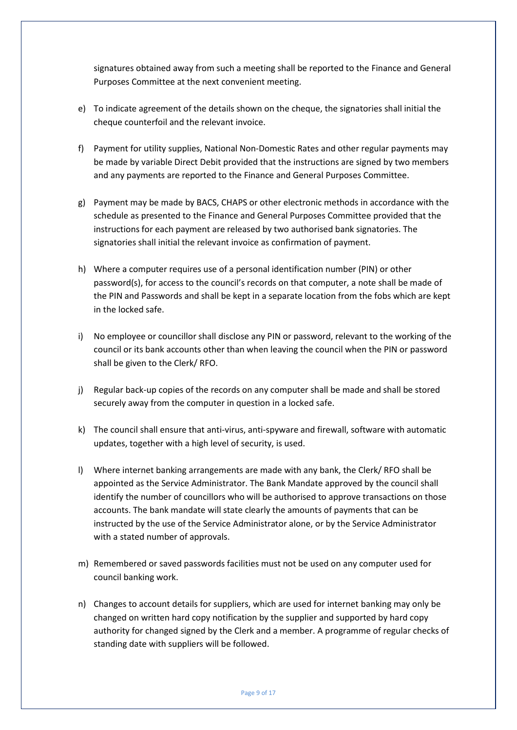signatures obtained away from such a meeting shall be reported to the Finance and General Purposes Committee at the next convenient meeting.

- e) To indicate agreement of the details shown on the cheque, the signatories shall initial the cheque counterfoil and the relevant invoice.
- f) Payment for utility supplies, National Non-Domestic Rates and other regular payments may be made by variable Direct Debit provided that the instructions are signed by two members and any payments are reported to the Finance and General Purposes Committee.
- g) Payment may be made by BACS, CHAPS or other electronic methods in accordance with the schedule as presented to the Finance and General Purposes Committee provided that the instructions for each payment are released by two authorised bank signatories. The signatories shall initial the relevant invoice as confirmation of payment.
- h) Where a computer requires use of a personal identification number (PIN) or other password(s), for access to the council's records on that computer, a note shall be made of the PIN and Passwords and shall be kept in a separate location from the fobs which are kept in the locked safe.
- i) No employee or councillor shall disclose any PIN or password, relevant to the working of the council or its bank accounts other than when leaving the council when the PIN or password shall be given to the Clerk/ RFO.
- j) Regular back-up copies of the records on any computer shall be made and shall be stored securely away from the computer in question in a locked safe.
- k) The council shall ensure that anti-virus, anti-spyware and firewall, software with automatic updates, together with a high level of security, is used.
- l) Where internet banking arrangements are made with any bank, the Clerk/ RFO shall be appointed as the Service Administrator. The Bank Mandate approved by the council shall identify the number of councillors who will be authorised to approve transactions on those accounts. The bank mandate will state clearly the amounts of payments that can be instructed by the use of the Service Administrator alone, or by the Service Administrator with a stated number of approvals.
- m) Remembered or saved passwords facilities must not be used on any computer used for council banking work.
- n) Changes to account details for suppliers, which are used for internet banking may only be changed on written hard copy notification by the supplier and supported by hard copy authority for changed signed by the Clerk and a member. A programme of regular checks of standing date with suppliers will be followed.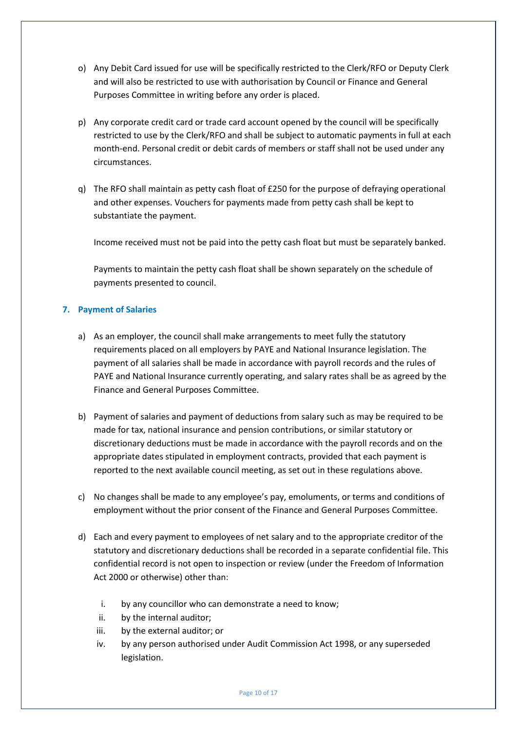- o) Any Debit Card issued for use will be specifically restricted to the Clerk/RFO or Deputy Clerk and will also be restricted to use with authorisation by Council or Finance and General Purposes Committee in writing before any order is placed.
- p) Any corporate credit card or trade card account opened by the council will be specifically restricted to use by the Clerk/RFO and shall be subject to automatic payments in full at each month-end. Personal credit or debit cards of members or staff shall not be used under any circumstances.
- q) The RFO shall maintain as petty cash float of £250 for the purpose of defraying operational and other expenses. Vouchers for payments made from petty cash shall be kept to substantiate the payment.

Income received must not be paid into the petty cash float but must be separately banked.

Payments to maintain the petty cash float shall be shown separately on the schedule of payments presented to council.

# **7. Payment of Salaries**

- a) As an employer, the council shall make arrangements to meet fully the statutory requirements placed on all employers by PAYE and National Insurance legislation. The payment of all salaries shall be made in accordance with payroll records and the rules of PAYE and National Insurance currently operating, and salary rates shall be as agreed by the Finance and General Purposes Committee.
- b) Payment of salaries and payment of deductions from salary such as may be required to be made for tax, national insurance and pension contributions, or similar statutory or discretionary deductions must be made in accordance with the payroll records and on the appropriate dates stipulated in employment contracts, provided that each payment is reported to the next available council meeting, as set out in these regulations above.
- c) No changes shall be made to any employee's pay, emoluments, or terms and conditions of employment without the prior consent of the Finance and General Purposes Committee.
- d) Each and every payment to employees of net salary and to the appropriate creditor of the statutory and discretionary deductions shall be recorded in a separate confidential file. This confidential record is not open to inspection or review (under the Freedom of Information Act 2000 or otherwise) other than:
	- i. by any councillor who can demonstrate a need to know;
	- ii. by the internal auditor;
	- iii. by the external auditor; or
	- iv. by any person authorised under Audit Commission Act 1998, or any superseded legislation.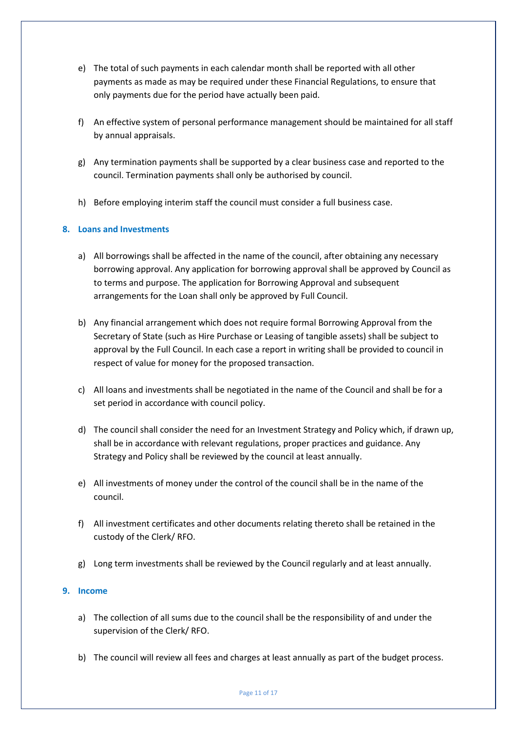- e) The total of such payments in each calendar month shall be reported with all other payments as made as may be required under these Financial Regulations, to ensure that only payments due for the period have actually been paid.
- f) An effective system of personal performance management should be maintained for all staff by annual appraisals.
- g) Any termination payments shall be supported by a clear business case and reported to the council. Termination payments shall only be authorised by council.
- h) Before employing interim staff the council must consider a full business case.

# **8. Loans and Investments**

- a) All borrowings shall be affected in the name of the council, after obtaining any necessary borrowing approval. Any application for borrowing approval shall be approved by Council as to terms and purpose. The application for Borrowing Approval and subsequent arrangements for the Loan shall only be approved by Full Council.
- b) Any financial arrangement which does not require formal Borrowing Approval from the Secretary of State (such as Hire Purchase or Leasing of tangible assets) shall be subject to approval by the Full Council. In each case a report in writing shall be provided to council in respect of value for money for the proposed transaction.
- c) All loans and investments shall be negotiated in the name of the Council and shall be for a set period in accordance with council policy.
- d) The council shall consider the need for an Investment Strategy and Policy which, if drawn up, shall be in accordance with relevant regulations, proper practices and guidance. Any Strategy and Policy shall be reviewed by the council at least annually.
- e) All investments of money under the control of the council shall be in the name of the council.
- f) All investment certificates and other documents relating thereto shall be retained in the custody of the Clerk/ RFO.
- g) Long term investments shall be reviewed by the Council regularly and at least annually.

#### **9. Income**

- a) The collection of all sums due to the council shall be the responsibility of and under the supervision of the Clerk/ RFO.
- b) The council will review all fees and charges at least annually as part of the budget process.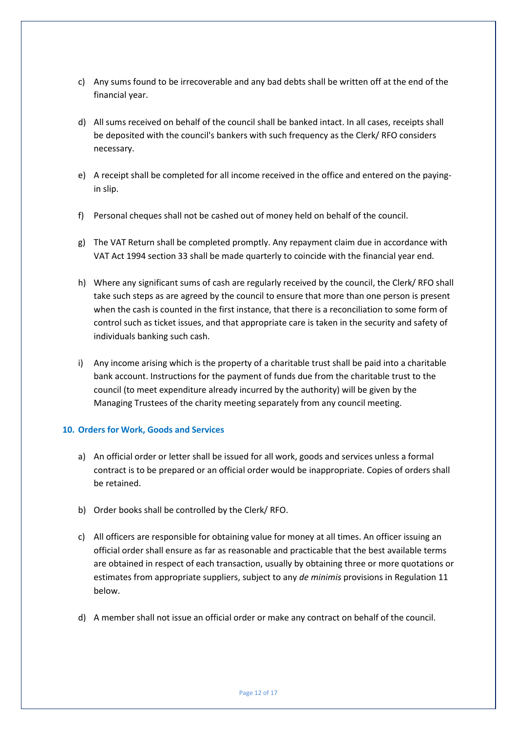- c) Any sums found to be irrecoverable and any bad debts shall be written off at the end of the financial year.
- d) All sums received on behalf of the council shall be banked intact. In all cases, receipts shall be deposited with the council's bankers with such frequency as the Clerk/ RFO considers necessary.
- e) A receipt shall be completed for all income received in the office and entered on the payingin slip.
- f) Personal cheques shall not be cashed out of money held on behalf of the council.
- g) The VAT Return shall be completed promptly. Any repayment claim due in accordance with VAT Act 1994 section 33 shall be made quarterly to coincide with the financial year end.
- h) Where any significant sums of cash are regularly received by the council, the Clerk/ RFO shall take such steps as are agreed by the council to ensure that more than one person is present when the cash is counted in the first instance, that there is a reconciliation to some form of control such as ticket issues, and that appropriate care is taken in the security and safety of individuals banking such cash.
- i) Any income arising which is the property of a charitable trust shall be paid into a charitable bank account. Instructions for the payment of funds due from the charitable trust to the council (to meet expenditure already incurred by the authority) will be given by the Managing Trustees of the charity meeting separately from any council meeting.

#### **10. Orders for Work, Goods and Services**

- a) An official order or letter shall be issued for all work, goods and services unless a formal contract is to be prepared or an official order would be inappropriate. Copies of orders shall be retained.
- b) Order books shall be controlled by the Clerk/ RFO.
- c) All officers are responsible for obtaining value for money at all times. An officer issuing an official order shall ensure as far as reasonable and practicable that the best available terms are obtained in respect of each transaction, usually by obtaining three or more quotations or estimates from appropriate suppliers, subject to any *de minimis* provisions in Regulation 11 below.
- d) A member shall not issue an official order or make any contract on behalf of the council.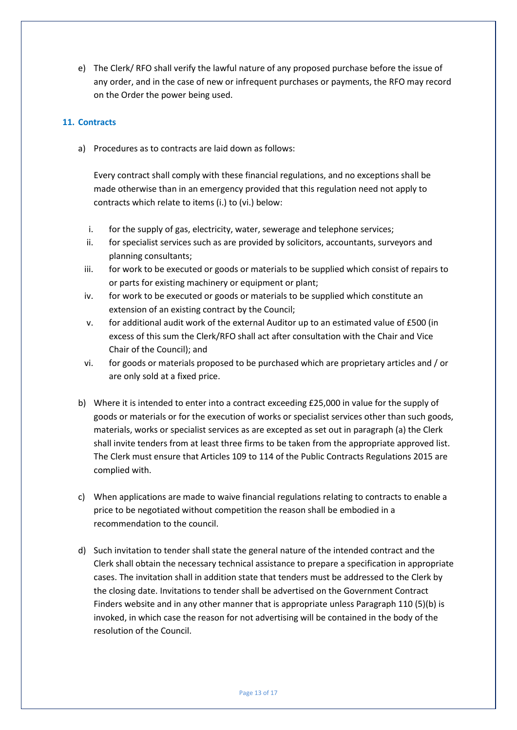e) The Clerk/ RFO shall verify the lawful nature of any proposed purchase before the issue of any order, and in the case of new or infrequent purchases or payments, the RFO may record on the Order the power being used.

# **11. Contracts**

a) Procedures as to contracts are laid down as follows:

Every contract shall comply with these financial regulations, and no exceptions shall be made otherwise than in an emergency provided that this regulation need not apply to contracts which relate to items (i.) to (vi.) below:

- i. for the supply of gas, electricity, water, sewerage and telephone services;
- ii. for specialist services such as are provided by solicitors, accountants, surveyors and planning consultants;
- iii. for work to be executed or goods or materials to be supplied which consist of repairs to or parts for existing machinery or equipment or plant;
- iv. for work to be executed or goods or materials to be supplied which constitute an extension of an existing contract by the Council;
- v. for additional audit work of the external Auditor up to an estimated value of £500 (in excess of this sum the Clerk/RFO shall act after consultation with the Chair and Vice Chair of the Council); and
- vi. for goods or materials proposed to be purchased which are proprietary articles and / or are only sold at a fixed price.
- b) Where it is intended to enter into a contract exceeding £25,000 in value for the supply of goods or materials or for the execution of works or specialist services other than such goods, materials, works or specialist services as are excepted as set out in paragraph (a) the Clerk shall invite tenders from at least three firms to be taken from the appropriate approved list. The Clerk must ensure that Articles 109 to 114 of the Public Contracts Regulations 2015 are complied with.
- c) When applications are made to waive financial regulations relating to contracts to enable a price to be negotiated without competition the reason shall be embodied in a recommendation to the council.
- d) Such invitation to tender shall state the general nature of the intended contract and the Clerk shall obtain the necessary technical assistance to prepare a specification in appropriate cases. The invitation shall in addition state that tenders must be addressed to the Clerk by the closing date. Invitations to tender shall be advertised on the Government Contract Finders website and in any other manner that is appropriate unless Paragraph 110 (5)(b) is invoked, in which case the reason for not advertising will be contained in the body of the resolution of the Council.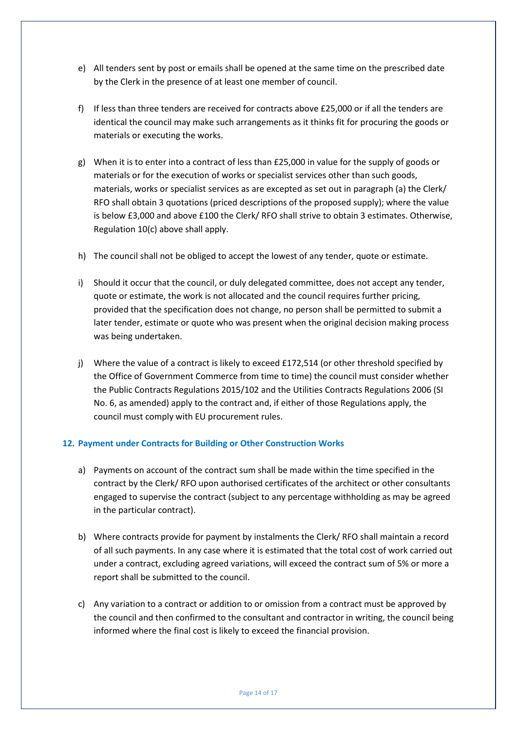- e) All tenders sent by post or emails shall be opened at the same time on the prescribed date by the Clerk in the presence of at least one member of council.
- f) If less than three tenders are received for contracts above £25,000 or if all the tenders are identical the council may make such arrangements as it thinks fit for procuring the goods or materials or executing the works.
- g) When it is to enter into a contract of less than £25,000 in value for the supply of goods or materials or for the execution of works or specialist services other than such goods, materials, works or specialist services as are excepted as set out in paragraph (a) the Clerk/ RFO shall obtain 3 quotations (priced descriptions of the proposed supply); where the value is below £3,000 and above £100 the Clerk/ RFO shall strive to obtain 3 estimates. Otherwise, Regulation 10(c) above shall apply.
- h) The council shall not be obliged to accept the lowest of any tender, quote or estimate.
- i) Should it occur that the council, or duly delegated committee, does not accept any tender, quote or estimate, the work is not allocated and the council requires further pricing, provided that the specification does not change, no person shall be permitted to submit a later tender, estimate or quote who was present when the original decision making process was being undertaken.
- j) Where the value of a contract is likely to exceed £172,514 (or other threshold specified by the Office of Government Commerce from time to time) the council must consider whether the Public Contracts Regulations 2015/102 and the Utilities Contracts Regulations 2006 (SI No. 6, as amended) apply to the contract and, if either of those Regulations apply, the council must comply with EU procurement rules.

#### **12. Payment under Contracts for Building or Other Construction Works**

- a) Payments on account of the contract sum shall be made within the time specified in the contract by the Clerk/ RFO upon authorised certificates of the architect or other consultants engaged to supervise the contract (subject to any percentage withholding as may be agreed in the particular contract).
- b) Where contracts provide for payment by instalments the Clerk/ RFO shall maintain a record of all such payments. In any case where it is estimated that the total cost of work carried out under a contract, excluding agreed variations, will exceed the contract sum of 5% or more a report shall be submitted to the council.
- c) Any variation to a contract or addition to or omission from a contract must be approved by the council and then confirmed to the consultant and contractor in writing, the council being informed where the final cost is likely to exceed the financial provision.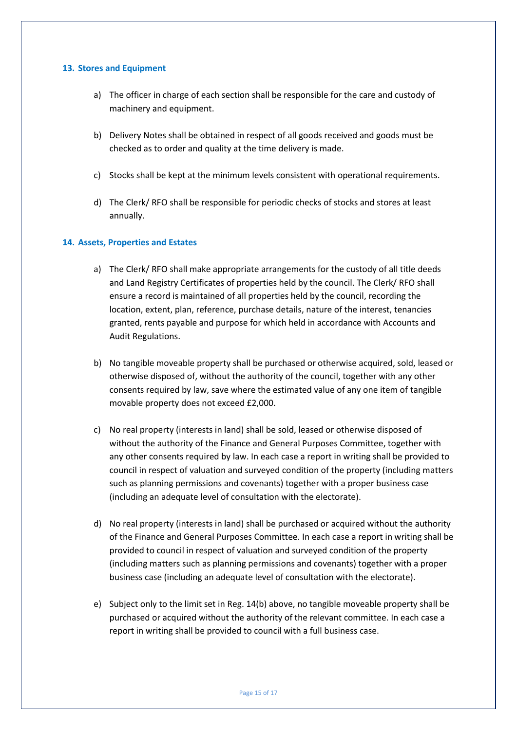#### **13. Stores and Equipment**

- a) The officer in charge of each section shall be responsible for the care and custody of machinery and equipment.
- b) Delivery Notes shall be obtained in respect of all goods received and goods must be checked as to order and quality at the time delivery is made.
- c) Stocks shall be kept at the minimum levels consistent with operational requirements.
- d) The Clerk/ RFO shall be responsible for periodic checks of stocks and stores at least annually.

#### **14. Assets, Properties and Estates**

- a) The Clerk/ RFO shall make appropriate arrangements for the custody of all title deeds and Land Registry Certificates of properties held by the council. The Clerk/ RFO shall ensure a record is maintained of all properties held by the council, recording the location, extent, plan, reference, purchase details, nature of the interest, tenancies granted, rents payable and purpose for which held in accordance with Accounts and Audit Regulations.
- b) No tangible moveable property shall be purchased or otherwise acquired, sold, leased or otherwise disposed of, without the authority of the council, together with any other consents required by law, save where the estimated value of any one item of tangible movable property does not exceed £2,000.
- c) No real property (interests in land) shall be sold, leased or otherwise disposed of without the authority of the Finance and General Purposes Committee, together with any other consents required by law. In each case a report in writing shall be provided to council in respect of valuation and surveyed condition of the property (including matters such as planning permissions and covenants) together with a proper business case (including an adequate level of consultation with the electorate).
- d) No real property (interests in land) shall be purchased or acquired without the authority of the Finance and General Purposes Committee. In each case a report in writing shall be provided to council in respect of valuation and surveyed condition of the property (including matters such as planning permissions and covenants) together with a proper business case (including an adequate level of consultation with the electorate).
- e) Subject only to the limit set in Reg. 14(b) above, no tangible moveable property shall be purchased or acquired without the authority of the relevant committee. In each case a report in writing shall be provided to council with a full business case.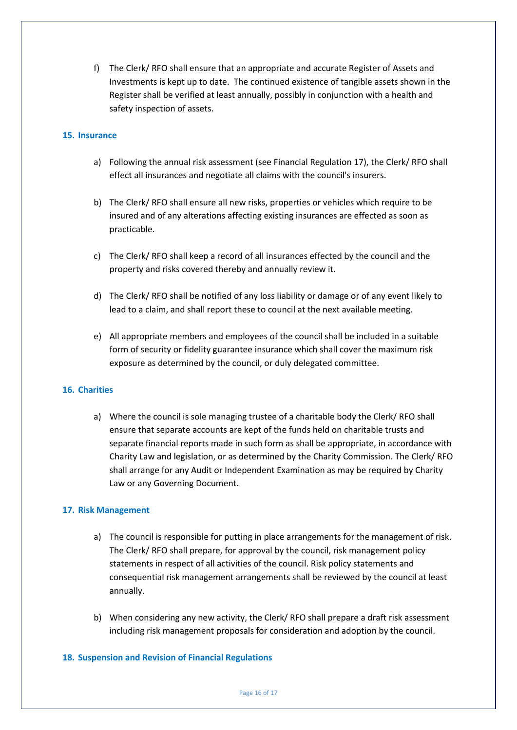f) The Clerk/ RFO shall ensure that an appropriate and accurate Register of Assets and Investments is kept up to date. The continued existence of tangible assets shown in the Register shall be verified at least annually, possibly in conjunction with a health and safety inspection of assets.

#### **15. Insurance**

- a) Following the annual risk assessment (see Financial Regulation 17), the Clerk/ RFO shall effect all insurances and negotiate all claims with the council's insurers.
- b) The Clerk/ RFO shall ensure all new risks, properties or vehicles which require to be insured and of any alterations affecting existing insurances are effected as soon as practicable.
- c) The Clerk/ RFO shall keep a record of all insurances effected by the council and the property and risks covered thereby and annually review it.
- d) The Clerk/ RFO shall be notified of any loss liability or damage or of any event likely to lead to a claim, and shall report these to council at the next available meeting.
- e) All appropriate members and employees of the council shall be included in a suitable form of security or fidelity guarantee insurance which shall cover the maximum risk exposure as determined by the council, or duly delegated committee.

#### **16. Charities**

a) Where the council is sole managing trustee of a charitable body the Clerk/ RFO shall ensure that separate accounts are kept of the funds held on charitable trusts and separate financial reports made in such form as shall be appropriate, in accordance with Charity Law and legislation, or as determined by the Charity Commission. The Clerk/ RFO shall arrange for any Audit or Independent Examination as may be required by Charity Law or any Governing Document.

#### **17. Risk Management**

- a) The council is responsible for putting in place arrangements for the management of risk. The Clerk/ RFO shall prepare, for approval by the council, risk management policy statements in respect of all activities of the council. Risk policy statements and consequential risk management arrangements shall be reviewed by the council at least annually.
- b) When considering any new activity, the Clerk/ RFO shall prepare a draft risk assessment including risk management proposals for consideration and adoption by the council.

#### **18. Suspension and Revision of Financial Regulations**